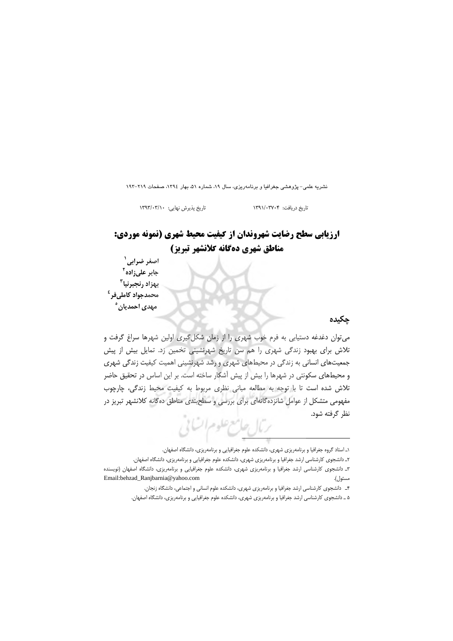نشریه علمی- پژوهشی جغرافیا و برنامهریزی، سال ۱۹، شماره ۵۱، بهار ۱۳۹٤، صفحات ۲۱۹-۱۹۳

تاریخ پذیرش نهایی: ١٣٩٣/٠٣/١٠

### تاريخ دريافت: ١٣٩١/٠٣٧٠۴

# **ارزیابی سطح رضایت شهروندان از کیفیت محیط شهری (نمونه موردی:** مناطق شهري دهگانه كلانشهر تبريز)

اصغر ضراب*ی*` جابر علىزاده<sup>۲</sup> بهزاد رنجبرنيا<sup>۳</sup> محمدجواد کامل<sub>ی</sub>فر <sup>٤</sup> مهدی احمدیان ٔ

### جكيده

می توان دغدغه دستیابی به فرم خوب شهری را از زمان شکل گیری اولین شهرها سراغ گرفت و تلاش برای بهبود زندگی شهری را هم سن تاریخ شهرنشینی تخمین زد. تمایل بیش از پیش جمعیتهای انسانی به زندگی در محیطهای شهری و رشد شهرنشینی اهمیت کیفیت زندگی شهری و محیطهای سکونتی در شهرها را بیش از پیش آشکار ساخته است. بر این اساس در تحقیق حاضر تلاش شده است تا با توجه به مطالعه مبانى نظرى مربوط به كيفيت محيط زندگى، چارچوب مفهومی متشکل از عوامل شانزدهگانهای برای بررسی و سطحبندی مناطق دهگانه کلانشهر تبریز در نظر گرفته شود. ترمال حامع علوم اتساني

۴\_ دانشجوی کارشناسی ارشد جغرافیا و برنامهریزی شهری، دانشکده علوم انسانی و اجتماعی، دانشگاه زنجان.

١\_ استاد گروه جغرافيا و برنامهريزي شهري، دانشكده علوم جغرافيايي و برنامهريزي، دانشگاه اصفهان.

٢ـ دانشجوي كارشناسي ارشد جغرافيا و برنامهريزي شهري، دانشكده علوم جغرافيايي و برنامهريزي، دانشگاه اصفهان.

۳ـ دانشجوی کارشناسی ارشد جغرافیا و برنامهریزی شهری، دانشکده علوم جغرافیایی و برنامهریزی، دانشگاه اصفهان (نویسنده Email:behzad\_Ranjbarnia@yahoo.com مسئول).

۵ \_ دانشجوی کارشناسی ارشد جغرافیا و برنامهریزی شهری، دانشکده علوم جغرافیایی و برنامهریزی، دانشگاه اصفهان.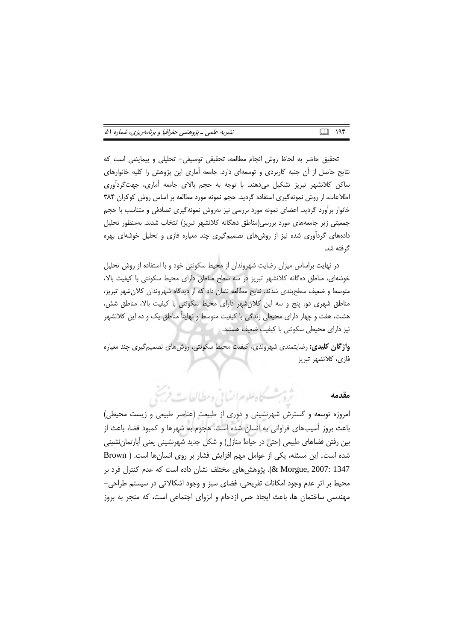| نشریه علمی ـ پژوهشی جغرافیا و برنامهریزی، شماره ۵۱ | <b>QQ</b> 1914 |  |
|----------------------------------------------------|----------------|--|
|----------------------------------------------------|----------------|--|

تحقیق حاضر به لحاظ روش انجام مطالعه، تحقیقی توصیفی- تحلیلی و پیمایشی است که نتایج حاصل از آن جنبه کاربردی و توسعهای دارد. جامعه آماری این پژوهش را کلیه خانوارهای ساکن کلانشهر تبریز تشکیل میدهند. با توجه به حجم بالای جامعه آماری، جهتگردآوری اطلاعات، از روش نمونهگیری استفاده گردید. حجم نمونه مورد مطالعه بر اساس روش کوکران ۳۸۴ خانوار برأورد گردید. اعضای نمونه مورد بررسی نیز بهروش نمونهگیری تصادفی و متناسب با حجم جمعیتی زیر جامعههای مورد بررسی(مناطق دهگانه کلانشهر تبریز) انتخاب شدند. بهمنظور تحلیل دادههای گردآوری شده نیز از روشهای تصمیمگیری چند معیاره فازی و تحلیل خوشهای بهره گرفته شد.

در نهایت براساس میزان رضایت شهروندان از محیط سکونتی خود و با استفاده از روش تحلیل خوشهای، مناطق دهگانه کلانشهر تبریز در سه سطح مناطق دارای محیط سکونتی با کیفیت بالا، متوسط و ضعیف سطحبندی شدند. نتایج مطالعه نشان داد که از دیدگاه شهروندان کلان شهر تبریز، مناطق شهری دو، پنج و سه این کلان شهر دارای محیط سکونتی با کیفیت بالا، مناطق شش، هشت، هفت و چهار دارای محیطی زندگی با کیفیت متوسط و نهایتاً مناطق یک و ده این کلانشهر نیز دارای محیطی سکونتی با کیفیت ضعیف هستند.

**واژگان کلیدی:** رضایتمندی شهروندی، کیفیت محیط سکونتی، روش های تصمیمگیری چند معیاره فازى، كلانشهر تبريز

> ثروبث كاهطوم انساني ومطالعات فريخ مقدمه

امروزه توسعه و گسترش شهرنشینی و دوری از طبیعت (عناصر طبیعی و زیست محیطی) باعث بروز آسیبهای فراوانی به انسان شده است. هجوم به شهرها و کمبود فضا، باعث از بین رفتن فضاهای طبیعی (حتی در حیاط منازل) و شکل جدید شهرنشینی یعنی آپارتمان نشینی شده است. این مسئله، یکی از عوامل مهم افزایش فشار بر روی انسانها است. ( Brown 2007: 1347 (& Morgue, 2007). پژوهش های مختلف نشان داده است که عدم کنترل فرد بر محیط بر اثر عدم وجود امکانات تفریحی، فضای سبز و وجود اشکالاتی در سیستم طراحی-مهندسی ساختمان ها، باعث ایجاد حس ازدحام و انزوای اجتماعی است، که منجر به بروز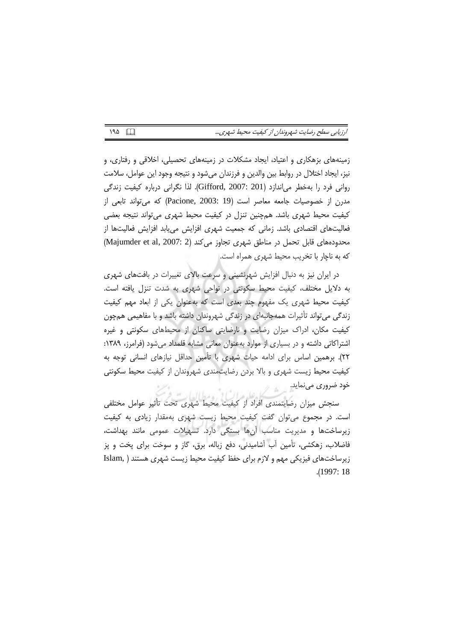| ارزيابي سطح رضايت شهروندان از كيفيت محيط شهري |  |  |  |  |
|-----------------------------------------------|--|--|--|--|
|-----------------------------------------------|--|--|--|--|

زمینههای بزهکاری و اعتیاد، ایجاد مشکلات در زمینههای تحصیلی، اخلاقی و رفتاری، و نیز، ایجاد اختلال در روابط بین والدین و فرزندان میشود و نتیجه وجود این عوامل، سلامت روانی فرد را بهخطر می|ندازد (Gifford, 2007: 201). لذا نگرانی درباره کیفیت زندگی مدرن از خصوصیات جامعه معاصر است (Pacione, 2003: 19) که می تواند تابعی از کیفیت محیط شهری باشد. همچنین تنزل در کیفیت محیط شهری می تواند نتیجه بعضی فعالیتهای اقتصادی باشد. زمانی که جمعیت شهری افزایش می یابد افزایش فعالیتها از محدودههای قابل تحمل در مناطق شهری تجاوز می کند (Majumder et al, 2007: 2) كه به ناچار با تخريب محيط شهري همراه است.

در ایران نیز به دنبال افزایش شهرنشینی و سرعت بالای تغییرات در بافتهای شهری به دلایل مختلف، کیفیت محیط سکونتی در نواحی شهری به شدت تنزل یافته است. کیفیت محیط شهری یک مفهوم چند بعدی است که بهعنوان یکی از ابعاد مهم کیفیت زندگی میتواند تأثیرات همهجانبهای در زندگی شهروندان داشته باشد و با مفاهیمی همچون کیفیت مکان، ادراک میزان رضایت و نارضایتی ساکنان از محیطهای سکونتی و غیره اشتراکاتی داشته و در بسیاری از موارد بهعنوان معانی مشابه قلمداد میشود (فرامرز، ۱۳۸۹: ٢٢). برهمين اساس براي ادامه حيات شهري با تأمين حداقل نيازهاي انساني توجه به كيفيت محيط زيست شهري و بالا بردن رضايتمندي شهروندان از كيفيت محيط سكونتي خود ضروری مینماید.

سنجش میزان رضایتمندی افراد از کیفیت محیط شهری تحت تأثیر عوامل مختلفی است. در مجموع می توان گفت کیفیت محیط زیست شهری بهمقدار زیادی به کیفیت زیرساختها و مدیریت مناسب آنها بستگی دارد. تسهیلات عمومی مانند بهداشت، فاضلاب، زهکشی، تأمین آب آشامیدنی، دفع زباله، برق، گاز و سوخت برای پخت و پز زیرساختهای فیزیکی مهم و لازم برای حفظ کیفیت محیط زیست شهری هستند ( .Islam  $.1997:18$ 

 $190$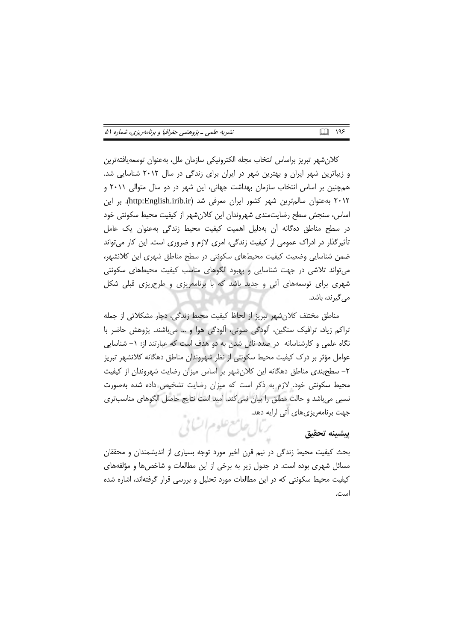| نشریه علمی ـ پژوهشی جغرافیا و برنامهریزی، شماره ۵۱ | 圆 195 |  |
|----------------------------------------------------|-------|--|
|----------------------------------------------------|-------|--|

كلان شهر تبريز براساس انتخاب مجله الكترونيكي سازمان ملل، بهعنوان توسعهيافتهترين و زیباترین شهر ایران و بهترین شهر در ایران برای زندگی در سال ۲۰۱۲ شناسایی شد. همچنین بر اساس انتخاب سازمان بهداشت جهانی، این شهر در دو سال متوالی ۲۰۱۱ و ۲۰۱۲ به عنوان سالم ترین شهر کشور ایران معرفی شد (http:English.irib.ir). بر این اساس، سنجش سطح رضایتمندی شهروندان این کلانِشهر از کیفیت محیط سکونتی خود در سطح مناطق دهگانه اّن بهدلیل اهمیت کیفیت محیط زندگی بهعنوان یک عامل تأثیرگذار در ادراک عمومی از کیفیت زندگی، امری لازم و ضروری است. این کار میتواند ضمن شناسایی وضعیت کیفیت محیطهای سکونتی در سطح مناطق شهری این کلانشهر، می تواند تلاشی در جهت شناسایی و بهبود الگوهای مناسب کیفیت محیطهای سکونتی شهری برای توسعههای آتی و جدید باشد که با برنامهریزی و طرح یزی قبلی شکل می گیرند، باشد.

مناطق مختلف كلانشهر تبريز از لحاظ كيفيت محيط زندگي، دچار مشكلاتي از جمله تراکم زیاد، ترافیک سنگین، آلودگی صوتی، آلودگی هوا و … میباشند. پژوهش حاضر با نگاه علمی و کارشناسانه در صدد نائل شدن به دو هدف است که عبارتند از: ١– شناسایی عوامل مؤثر بر درک کیفیت محیط سکونتی از نظر شهروندان مناطق دهگانه کلانشهر تبریز ٢- سطحبندی مناطق دهگانه این کلان شهر بر اساس میزان رضایت شهروندان از کیفیت محیط سکونتی خود. لازم به ذکر است که میزان رضایت تشخیص داده شده بهصورت نسبی میباشد و حالت مطلق را بیان نمی کند. امید است نتایج حاصل الگوهای مناسبتری جهت برنامهریزیهای آتی ارایه دهد. رمال حامع علوم اتنائى

### بيشينه تحقيق

بحث کیفیت محیط زندگی در نیم قرن اخیر مورد توجه بسیاری از اندیشمندان و محققان مسائل شهری بوده است. در جدول زیر به برخی از این مطالعات و شاخصها و مؤلفههای کیفیت محیط سکونتی که در این مطالعات مورد تحلیل و بررسی قرار گرفتهاند، اشاره شده است.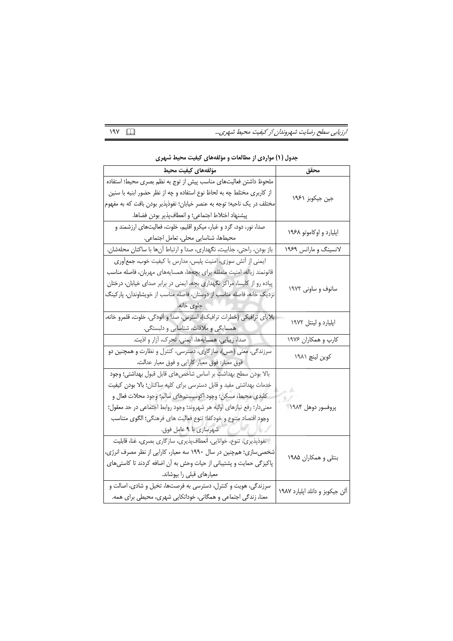ارزیابی سطح رضایت شهروندان از کیفیت محیط شهری...  $19Y$ 

| مؤلفههاى كيفيت محيط                                                       | محقق                            |
|---------------------------------------------------------------------------|---------------------------------|
| ملحوظ داشتن فعالیتهای مناسب پیش از توج به نظم بصری محیط؛ استفاده          |                                 |
| از کاربری مختلط چه به لحاظ نوع استفاده و چه از نظر حضور ابنیه با سنین     | جین جیکوبز ۱۹۶۱                 |
| مختلف در یک ناحیه؛ توجه به عنصر خیابان؛ نفوذپذیر بودن بافت که به مفهوم    |                                 |
| پيشنهاد اختلاط اجتماعي؛ و انعطافپذير بودن فضاها.                          |                                 |
| صدا، نور، دود، گرد و غبار، میکرو اقلیم، خلوت، فعالیتهای ارزشمند و         |                                 |
| محیطها، شناسایی محلی، تعامل اجتماعی.                                      | اپلیارد و اوکاموتو ۱۹۶۸         |
| باز بودن، راحتی، جذابیت، نگهداری، صدا و ارتباط آنها با ساکنان محلهشان.    | لانسینگ و مارانس ۱۹۶۹           |
| ایمنی از آتش سوزی، امنیت پلیس، مدارس با کیفیت خوب، جمعآوری                |                                 |
| قانونمند زباله، امنيت منطقه براى بچهها، همسايههاى مهربان، فاصله مناسب     |                                 |
| پیاده رو از کلیسا، مراکز نگهداری بچه، ایمنی در برابر صدای خیابان، درختان  |                                 |
| نزدیک خانه، فاصله مناسب از دوستان، فاصله مناسب از خویشاوندان، پارکینگ     | سانوف و ساونی ۱۹۷۲              |
| جلوى خانه.                                                                |                                 |
| بلایای ترافیکی (خطرات ترافیک)، استرس، صدا و آلودگی، خلوت، قلمرو خانه،     |                                 |
| همسایگی و ملاقات، شناسایی و دلبستگی.                                      | اپلیارد و لینتل ۱۹۷۲            |
| صدا، زیبایی، همسایهها، ایمنی، تحرک، آزار و اذیت.                          | کارپ و همکاران ۱۹۷۶             |
| سرزندگی، معنی (حس)، سازگاری، دسترسی، کنترل و نظارت و همچنین دو            | کوین لینچ ۱۹۸۱                  |
| فوق معيار: فوق معيار كارايي و فوق معيار عدالت.                            |                                 |
| بالا بودن سطح بهداشت بر اساس شاخصهاى قابل قبول بهداشتى؛ وجود              |                                 |
| خدمات بهداشتی مفید و قابل دسترسی برای کلیه ساکنان؛ بالا بودن کیفیت        |                                 |
| كلبدى محيط، مسكن؛ وجود اكوسيستمهاى سالم؛ وجود محلات فعال و                |                                 |
| معنىدار؛ رفع نيازهاي اوليه هر شهروند؛ وجود روابط اجتماعي در حد معقول؛     | پروفسور دوهل ۱۹۸۴               |
| وجود اقتصاد متنوع و خودكفا؛ تنوع فعاليت هاى فرهنگى؛ الگوى متناسب          |                                 |
| شهرسازی با ۹ عامل فوق.                                                    |                                 |
| ِ نفوذپذیری، تنوع، خوانایی، انعطاف $\mu$ یذیری، سازگاری بصری، غنا، قابلیت |                                 |
| شخصی سازی؛ همچنین در سال ۱۹۹۰ سه معیار، کارایی از نظر مصرف انرژی،         |                                 |
| پاکیزگی حمایت و پشتیبانی از حیات وحش به آن اضافه کردند تا کاستیهای        | بنتلی و همکاران ۱۹۸۵            |
| معیارهای قبلی را بپوشاند.                                                 |                                 |
| سرزندگی، هویت و کنترل، دسترسی به فرصتها، تخیل و شادی، اصالت و             |                                 |
| معنا، زندگی اجتماعی و همگانی، خوداتکایی شهری، محیطی برای همه.             | آلن جيكوبز و دانلد اپليارد ١٩٨٧ |

جدول (۱) مواردی از مطالعات و مؤلفههای کیفیت محیط شهری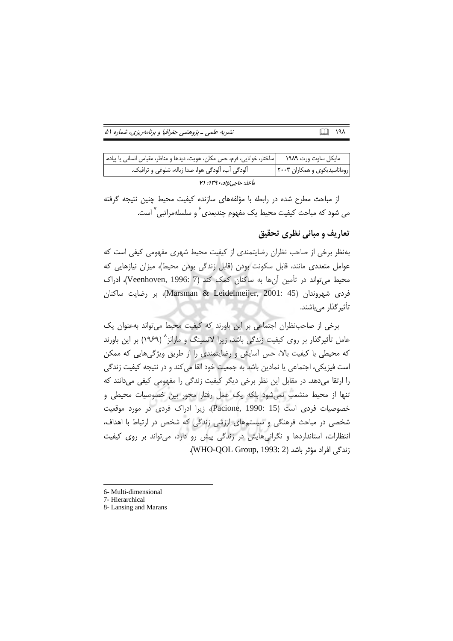| نشریه علمی ـ پژوهشی جغرافیا و برنامهریزی، شماره ۵۱ | <b>□□ 191</b> |  |
|----------------------------------------------------|---------------|--|
|----------------------------------------------------|---------------|--|

| ساختار، خوانایی، فرم، حس مکان، هویت، دیدها و مناظر، مقیاس انسانی یا پیاده. | مايكل ساوت ورث ١٩٨٩          |
|----------------------------------------------------------------------------|------------------------------|
| آلودگی آب، آلودگی هوا، صدا زباله، شلوغی و ترافیک.                          | روماناسیدیکوی و همکاران ۲۰۰۳ |
| مأخذ: حاجي نژاد، ١٣٩٠: ٧١                                                  |                              |

از مباحث مطرح شده در رابطه با مؤلفههای سازنده کیفیت محیط چنین نتیجه گرفته می شود که مباحث کیفیت محیط یک مفهوم چندبعدی ٔ و سلسلهمراتبی <sup>۷</sup> است.

## تعاریف و مبانی نظری تحقیق

بهنظر برخی از صاحب نظران رضایتمندی از کیفیت محیط شهری مفهومی کیفی است که عوامل متعددی مانند، قابل سکونت بودن (قابل زندگی بودن محیط)، میزان نیازهایی که محیط می تواند در تأمین آن ها به ساکنان کمک کند (Veenhoven, 1996: 7)، ادراک فردى شهروندان (Marsman & Leidelmeijer, 2001: 45)، بر رضايت ساكنان تأثیر گذار می باشند.

برخی از صاحب نظران اجتماعی بر این باورند که کیفیت محیط می تواند به عنوان یک عامل تأثیرگذار بر روی کیفیت زندگی باشد، زیرا لانسینگ و مارانز<sup>^</sup> (۱۹۶۹) بر این باورند که محیطی با کیفیت بالا، حس آسایش و رضایتمندی را از طریق ویژگیهایی که ممکن است فيزيكي، اجتماعي يا نمادين باشد به جمعيت خود القا مي كند و در نتيجه كيفيت زندگي را ارتقا میدهد. در مقابل این نظر برخی دیگر کیفیت زندگی را مفهومی کیفی میدانند که تنها از محیط منشعب نمیشود بلکه یک عمل رفتار محور بین خصوصیات محیطی و خصوصیات فردی است (Pacione, 1990: 15)، زیرا ادراک فردی در مورد موقعیت شخصی در مباحث فرهنگی و سیستمهای ارزشی زندگی که شخص در ارتباط با اهداف، انتظارات، استانداردها و نگرانیهایش در زندگی پیش رو دارد، میتواند بر روی کیفیت زندگی افراد مؤثر باشد (WHO-QOL Group, 1993: 2).

<sup>6-</sup> Multi-dimensional

<sup>7-</sup> Hierarchical

<sup>8-</sup> Lansing and Marans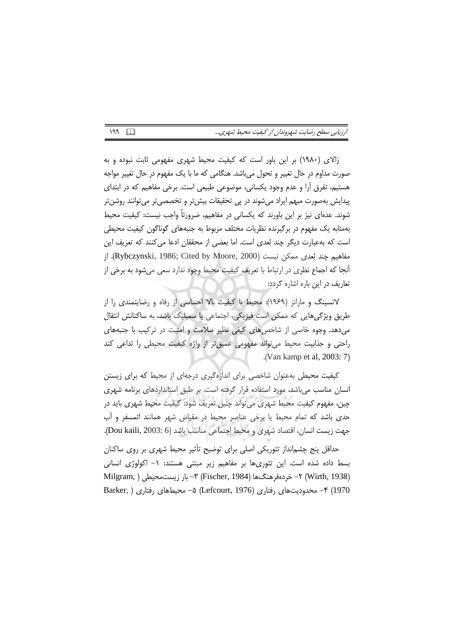| ارزيابي سطح رضايت شهروندان از كيفيت محيط شهري |  |  |  |  |
|-----------------------------------------------|--|--|--|--|
|                                               |  |  |  |  |

زالای (۱۹۸۰) بر این باور است که کیفیت محیط شهری مفهومی ثابت نبوده و به صورت مداوم در حال تغییر و تحول میباشد. هنگامی که ما با یک مفهوم در حال تغییر مواجه هستیم، تفرق آرا و عدم وجود یکسانی، موضوعی طبیعی است. برخی مفاهیم که در ابتدای پيدايش بهصورت مبهم ايراد مي شوند در يې تحقيقات بيش تر و تخصصي تر مي توانند روشن تر شوند. عدهای نیز بر این باورند که یکسانی در مفاهیم، ضرورتاً واجب نیست: کیفیت محیط بەمثابە یک مفهوم در برگیرنده نظریات مختلف مربوط به جنبەهای گوناگون کیفیت محیطی است که بهعبارت دیگر چند بُعدی است. اما بعضی از محققان ادعا می کنند که تعریف این مفاهيم چند بُعدي ممكن نيست (Rybczynski, 1986; Cited by Moore, 2000). از أنجا كه اجماع نظري در ارتباط با تعريف كيفيت محيط وجود ندارد سعى مي شود به برخي از تعاریف در این باره اشاره گردد:

لانسینگ و مارانز (۱۹۶۹): محیط با کیفیت بالا احساسی از رفاه و رضایتمندی را از طریق ویژگیهایی که ممکن است فیزیکی، اجتماعی یا سمبلیک باشد، به ساکنانش انتقال می دهد. وجوه خاصی از شاخص های کیفی نظیر سلامت و امنیت در ترکیب با جنبههای راحتی و جذابیت محیط می تواند مفهومی عمیق تر از واژه کیفیت محیطی را تداعی کند .(Van kamp et al,  $2003:7$ )

کیفیت محیطی بهعنوان شاخصی برای اندازهگیری درجهای از محیط که برای زیستن انسان مناسب می باشد، مورد استفاده قرار گرفته است. بر طبق استانداردهای برنامه شهری چین، مفهوم کیفیت محیط شهری می تواند چنین تعریف شود: کیفیت محیط شهری باید در حدی باشد که تمام محیط یا برخی عناصر محیط در مقیاس شهر همانند اتمسفر و آب جهت زيست انسان، اقتصاد شهري و محيط اجتماعي مناسب باشد (Dou kaili, 2003: 6).

حداقل پنج چشمانداز تئوریکی اصلی برای توضیح تأثیر محیط شهری بر روی ساکنان بسط داده شده است. این تئوریها بر مفاهیم زیر مبتنی هستند: ١- اکولوژی انسانی (Wirth, 1938) ۲– خردەفرھنگھا (Fischer, 1984) ۳– بار زيست،محيطى ( Milgram, 1970) ۴- محدودیتهای رفتاری (Lefcourt, 1976) ۵- محیطهای رفتاری ( Barker,

 $199$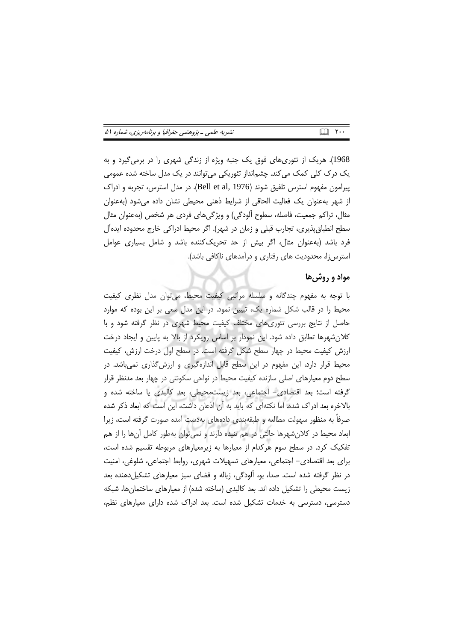| نشریه علمی ـ پژوهشی جغرافیا و برنامهریزی، شماره ۵۱ |  |  |
|----------------------------------------------------|--|--|
|----------------------------------------------------|--|--|

1968). هریک از تئوریهای فوق یک جنبه ویژه از زندگی شهری را در برمی گیرد و به یک درک کلی کمک میکند. چشمانداز تئوریکی میتوانند در یک مدل ساخته شده عمومی پیرامون مفهوم استرس تلفیق شوند (Bell et al, 1976). در مدل استرس، تجربه و ادراک از شهر بهعنوان یک فعالیت الحاقی از شرایط ذهنی محیطی نشان داده می شود (بهعنوان مثال، تراکم جمعیت، فاصله، سطوح ألودگی) و ویژگیهای فردی هر شخص (بهعنوان مثال سطح انطباق،پذیری، تجارب قبلی و زمان در شهر). اگر محیط ادراکی خارج محدوده ایدهآل فرد باشد (بهعنوان مثال، اگر بیش از حد تحریککننده باشد و شامل بسیاری عوامل استرس;ا، محدودیت های رفتاری و درآمدهای ناکافی باشد).

### مواد و روش ها

با توجه به مفهوم چندگانه و سلسله مراتبی کیفیت محیط، می توان مدل نظری کیفیت محیط را در قالب شکل شماره یک، تبیین نمود. در این مدل سعی بر این بوده که موارد حاصل از نتایج بررسی تئوری های مختلف کیفیت محیط شهری در نظر گرفته شود و با كلان شهرها تطابق داده شود. اين نمودار بر اساس رويكرد از بالا به پايين و ايجاد درخت ارزش کیفیت محیط در چهار سطح شکل گرفته است. در سطح اول درخت ارزش، کیفیت محیط قرار دارد، این مفهوم در این سطح قابل اندازهگیری و ارزش گذاری نمیباشد. در سطح دوم معیارهای اصلی سازنده کیفیت محیط در نواحی سکونتی در چهار بعد مدنظر قرار گرفته است؛ بعد اقتصادی- اجتماعی، بعد زیستمحیطی، بعد کالبدی یا ساخته شده و بالاخره بعد ادراک شده. اما نکتهای که باید به آن اذعان داشت، این است که ابعاد ذکر شده صرفاً به منظور سهولت مطالعه و طبقهبندی دادههای بهدست آمده صورت گرفته است، زیرا ابعاد محیط در کلان شهرها حالتی در هم تنیده دارند و نمی توان بهطور کامل آنها را از هم تفکیک کرد. در سطح سوم هرکدام از معیارها به زیرمعیارهای مربوطه تقسیم شده است، برای بعد اقتصادی– اجتماعی، معیارهای تسهیلات شهری، روابط اجتماعی، شلوغی، امنیت در نظر گرفته شده است. صدا، بو، آلودگی، زباله و فضای سبز معیارهای تشکیل دهنده بعد زیست محیطی را تشکیل داده اند. بعد کالبدی (ساخته شده) از معیارهای ساختمان ها، شبکه دسترسی، دسترسی به خدمات تشکیل شده است. بعد ادراک شده دارای معیارهای نظم،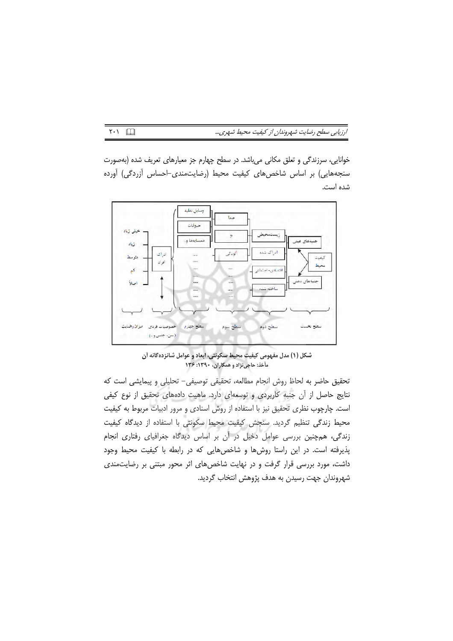ارزیابی سطح رضایت شهروندان از کیفیت محیط شهری...

خوانایی، سرزندگی و تعلق مکانی میباشد. در سطح چهارم جز معیارهای تعریف شده (بهصورت سنجههایی) بر اساس شاخصهای کیفیت محیط (رضایتمندی-احساس آزردگی) آورده شده است.



شکل (۱) مدل مفهومی کیفیت محیط سکونتی، ابعاد و عوامل شانزدهگانه آن مأخذ: حاجی نژاد و همکاران، ۱۳۹۰: ۱۳۶

تحقیق حاضر به لحاظ روش انجام مطالعه، تحقیقی توصیفی- تحلیلی و پیمایشی است که نتایج حاصل از آن جنبه کاربردی و توسعهای دارد. ماهیت دادههای تحقیق از نوع کیفی است. چارچوب نظری تحقیق نیز با استفاده از روش اسنادی و مرور ادبیات مربوط به کیفیت محیط زندگی تنظیم گردید. سنجش کیفیت محیط سکونتی با استفاده از دیدگاه کیفیت زندگی، همچنین بررسی عوامل دخیل در آن بر اساس دیدگاه جغرافیای رفتاری انجام پذیرفته است. در این راستا روشها و شاخصهایی که در رابطه با کیفیت محیط وجود داشت، مورد بررسی قرار گرفت و در نهایت شاخصهای اثر محور مبتنی بر رضایتمندی شهروندان جهت رسيدن به هدف پژوهش انتخاب گرديد.

 $\sqrt{11}$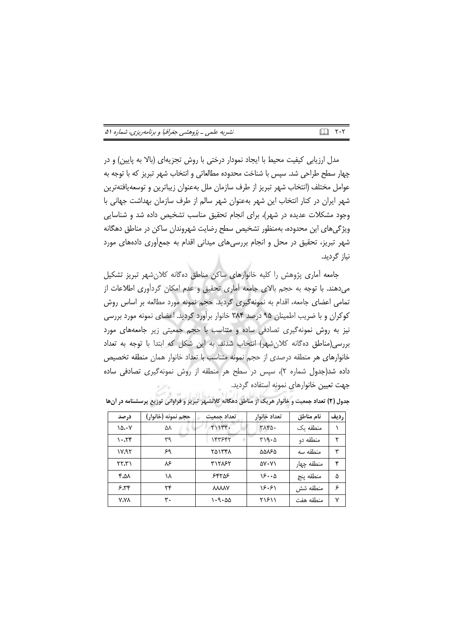| نشریه علمی ـ پژوهشی جغرافیا و برنامهریزی، شماره ۵۱ | $\Box$ $\vdots$ |  |  |
|----------------------------------------------------|-----------------|--|--|
|----------------------------------------------------|-----------------|--|--|

مدل ارزیابی کیفیت محیط با ایجاد نمودار درختی با روش تجزیهای (بالا به پایین) و در چهار سطح طراحی شد. سپس با شناخت محدوده مطالعاتی و انتخاب شهر تبریز که با توجه به عوامل مختلف (انتخاب شهر تبريز از طرف سازمان ملل بهعنوان زيباترين و توسعهيافتهترين شهر ایران در کنار انتخاب این شهر بهعنوان شهر سالم از طرف سازمان بهداشت جهانی با وجود مشکلات عدیده در شهر)، برای انجام تحقیق مناسب تشخیص داده شد و شناسایی ویژگی های این محدوده، بهمنظور تشخیص سطح رضایت شهروندان ساکن در مناطق دهگانه شهر تبریز، تحقیق در محل و انجام بررسیهای میدانی اقدام به جمعآوری دادههای مورد نياز گرديد.

جامعه آماری پژوهش را کلیه خانوارهای ساکن مناطق دهگانه کلان شهر تبریز تشکیل می دهند. با توجه به حجم بالای جامعه آماری تحقیق و عدم امکان گردآوری اطلاعات از تمامی اعضای جامعه، اقدام به نمونهگیری گردید. حجم نمونه مورد مطالعه بر اساس روش کوکران و با ضریب اطمینان ۹۵ درصد ۳۸۴ خانوار برآورد گردید. اعضای نمونه مورد بررسی نیز به روش نمونهگیری تصادفی ساده و متناسب با حجم جمعیتی زیر جامعههای مورد بررسی(مناطق دهگانه کلانشهر) انتخاب شدند. به این شکل که ابتدا با توجه به تعداد خانوارهای هر منطقه درصدی از حجم نمونه متناسب با تعداد خانوار همان منطقه تخصیص داده شد(جدول شماره ٢)، سيس در سطح هر منطقه از روش نمونه گيري تصادفي ساده جهت تعيين خانوارهاى نمونه استفاده گرديد.

| درصد             | حجم نمونه (خانوار) | تعداد حمعيت  | تعداد خانوار         | نام مناطق  | رديف |
|------------------|--------------------|--------------|----------------------|------------|------|
| $\delta \cdot V$ | ۵٨                 | Y11YY.       | $T\Lambda F\Delta$ . | منطقه ىک   |      |
| 1.75             | ٣٩                 | ۱۴۳۶۴۲       | 4.0                  | منطقه دو   | ۲    |
| VAT              | ۶۹                 | ۲۵۱۳۴۸       | ۵۵۸۶۵                | منطقه سه   | ٣    |
| ۲۲،۳۱            | ٨۶                 | ٣١٢٨۶٢       | ۵۷۰۷۱                | منطقه چهار | ۴    |
| ۸۵،۴             | ۱۸                 | ۶۴۲۵۶        | ۱۶۰۰۵                | منطقه ينج  | ۵    |
| ۶،۳۴             | ۲۴                 | <b>YYYYA</b> | ۱۶۰۶۱                | منطقه شش   | ۶    |
| <b>V.VA</b>      | ٣.                 | $1 - 9 - 20$ | ۲۱۶۱۱                | منطقه هفت  | ٧    |

جدول (۲) تعداد جمعیت و خانوار هریک از مناطق دهگانه کلانشهر تبریز و فراوانی توزیع پرسشنامه در أنها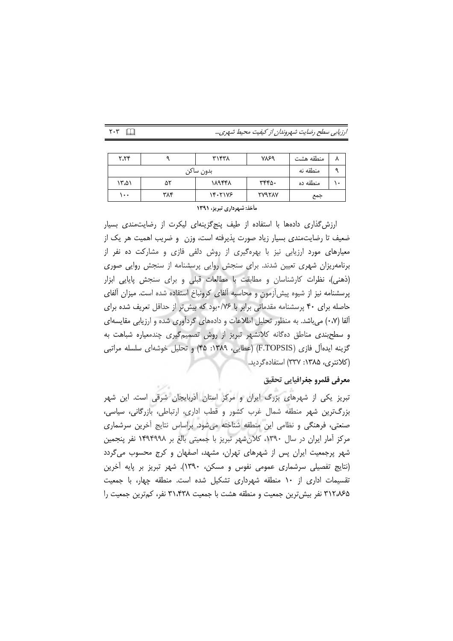$Y \cdot Y$ 

ارزیابی سطح رضایت شهروندان از کیفیت محیط شهری...

| ۲،۲۴      |     | ۳۱۴۳۸   | VVS9          | منطقه هشت |  |
|-----------|-----|---------|---------------|-----------|--|
| بدون ساكن |     |         |               | منطقه نه  |  |
| ۱۳،۵۱     | ۵۲  | 18948   | ٣۴۴۵٠         | منطقه ده  |  |
| ۱۰۰       | ۳۸۴ | 14.7178 | <b>TVATAV</b> | جمع       |  |

#### مأخذ: شهرداری تبریز، ۱۳۹۱

ارزش گذاری دادهها با استفاده از طیف پنج گزینهای لیکرت از رضایتمندی بسیار ضعیف تا رضایتمندی بسیار زیاد صورت پذیرفته است، وزن و ضریب اهمیت هر یک از معیارهای مورد ارزیابی نیز با بهرهگیری از روش دلفی فازی و مشارکت ده نفر از برنامهریزان شهری تعیین شدند. برای سنجش روایی پرسشنامه از سنجش روایی صوری (ذهنی)، نظرات کارشناسان و مطابقت با مطالعات قبلی و برای سنجش پایایی ابزار پرسشنامه نیز از شیوه پیش[زمون و محاسبه آلفای کرونباخ استفاده شده است. میزان آلفای حاصله برای ۴۰ پرسشنامه مقدماتی برابر با ۷۶/۰بود که بیش تر از حداقل تعریف شده برای آلفا (۰،۷) می باشد. به منظور تحلیل اطلاعات و دادههای گردآوری شده و ارزیابی مقایسهای و سطحبندی مناطق دهگانه کلانشهر تبریز از روش تصمیمگیری چندمعیاره شباهت به گزینه ایدهآل فازی (F.TOPSIS) (عطایی، ۱۳۸۹: ۴۵) و تحلیل خوشهای سلسله مراتبی (کلانتری، ۱۳۸۵: ۳۳۷) استفادهگردید.

### معرفي قلمرو جغرافيايي تحقيق

تبریز یکی از شهرهای بزرگ ایران و مرکز استان اَذربایجان شرقی است. این شهر بزرگترین شهر منطقه شمال غرب کشور و قطب اداری، ارتباطی، بازرگانی، سیاسی، صنعتی، فرهنگی و نظامی این منطقه شناخته میشود. براساس نتایج آخرین سرشماری مرکز آمار ایران در سال ۱۳۹۰، کلان شهر تبریز با جمعیتی بالغ بر ۱۴۹۴۹۹۸ نفر پنجمین شهر پرجمعیت ایران پس از شهرهای تهران، مشهد، اصفهان و کرج محسوب میگردد (نتايج تفصيلي سرشماري عمومي نفوس و مسكن، ١٣٩٠). شهر تبريز بر پايه آخرين تقسیمات اداری از ۱۰ منطقه شهرداری تشکیل شده است. منطقه چهار، با جمعیت ۳۱۲٬۸۶۵ نفر بیش ترین جمعیت و منطقه هشت با جمعیت ۳۱٬۴۳۸ نفر، کمترین جمعیت را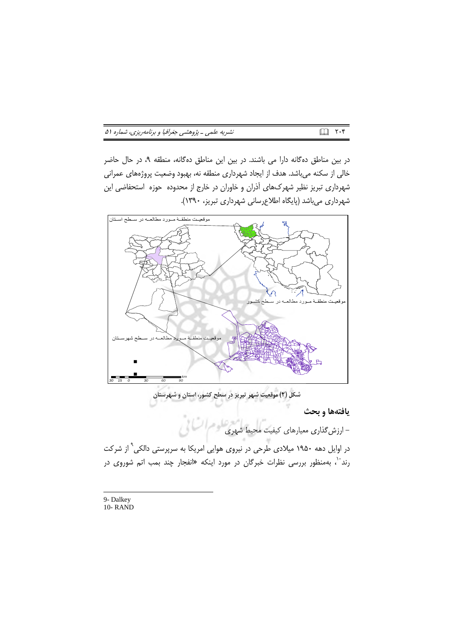| نشریه علمی ـ پژوهشی جغرافیا و برنامهریزی، شماره ۵۱ | ■ ۲۰۴ |  |  |
|----------------------------------------------------|-------|--|--|
|----------------------------------------------------|-------|--|--|

در بین مناطق دهگانه دارا می باشند. در بین این مناطق دهگانه، منطقه ۹، در حال حاضر خالی از سکنه میباشد. هدف از ایجاد شهرداری منطقه نه، بهبود وضعیت پروژههای عمرانی شهرداری تبریز نظیر شهرکهای آذران و خاوران در خارج از محدوده حوزه استحفاضی این شهرداری میباشد (پایگاه اطلاعرسانی شهرداری تبریز، ۱۳۹۰).



9- Dalkey  $10 -$ **RAND**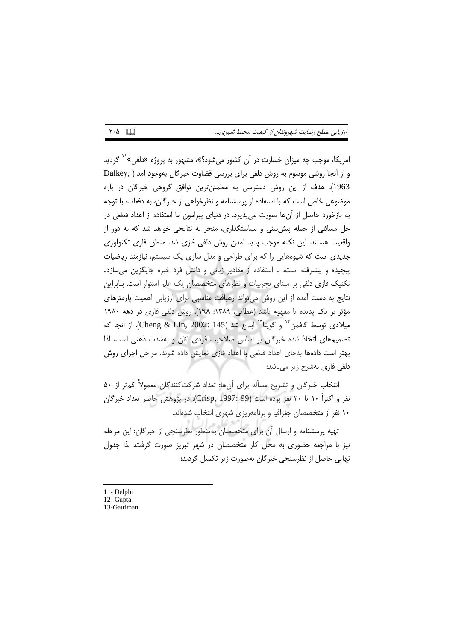### ارزیابی سطح رضایت شهروندان از کیفیت محیط شهری...

امریکا، موجب چه میزان خسارت در آن کشور میشود؟»، مشهور به پروژه «دلفی»<sup>۱۱</sup> گردید و از آنجا روشی موسوم به روش دلفی برای بررسی قضاوت خبرگان بهوجود آمد ( ,Dalkey 1963). هدف از این روش دسترسی به مطمئنترین توافق گروهی خبرگان در باره موضوعي خاص است كه با استفاده از پرسشنامه و نظرخواهي از خبرگان، به دفعات، با توجه به بازخورد حاصل از آنها صورت میپذیرد. در دنیای پیرامون ما استفاده از اعداد قطعی در حل مسائلی از جمله پیش بینی و سیاستگذاری، منجر به نتایجی خواهد شد که به دور از واقعیت هستند. این نکته موجب پدید آمدن روش دلفی فازی شد. منطق فازی تکنولوژی جدیدی است که شیوههایی را که برای طراحی و مدل سازی یک سیستم، نیازمند ریاضیات پیچیده و پیشرفته است، با استفاده از مقادیر زبانی و دانش فرد خبره جایگزین میسازد. تکنیک فازی دلفی بر مبنای تجربیات و نظرهای متخصصان یک علم استوار است. بنابراین نتایج به دست آمده از این روش می تواند رهیافت مناسبی برای ارزیابی اهمیت پارمترهای مؤثر بر یک پدیده یا مفهوم باشد (عطایی، ۱۳۸۹: ۱۹۸). روش دلفی فازی در دهه ۱۹۸۰ ميلادي توسط گافمن " و گويتا " ابداع شد (Cheng & Lin, 2002: 145). از آنجا كه تصمیمهای اتخاذ شده خبرگان بر اساس صلاحیت فردی آنان و بهشدت ذهنی است، لذا بهتر است دادمها بهجای اعداد قطعی با اعداد فازی نمایش داده شوند. مراحل اجرای روش دلفی فازی بهشرح زیر میباشد:

انتخاب خبرگان و تشریح مسأله برای آنها: تعداد شرکت کنندگان معمولاً کمتر از ۵۰ نفر و اکثراً ۱۰ تا ۲۰ نفر بوده است (Crisp, 1997: 99). در پژوهش حاضر تعداد خبرگان ١٠ نفر از متخصصان جغرافيا و برنامهريزي شهري انتخاب شدهاند.

تهیه پرسشنامه و ارسال آن برای متخصصان بهمنظور نظرسنجی از خبرگان: این مرحله نیز با مراجعه حضوری به محل کار متخصصان در شهر تبریز صورت گرفت. لذا جدول نهایی حاصل از نظرسنجی خبرگان بهصورت زیر تکمیل گردید:

- 11- Delphi
- 12- Gupta
- 13-Gaufman

 $Y \cdot \Delta$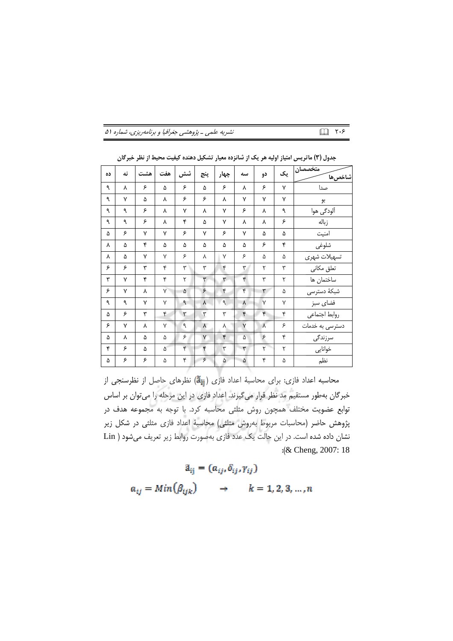|  | نشریه علمی ـ پژوهشی جغرافیا و برنامهریزی، شماره ۵۱ |  |
|--|----------------------------------------------------|--|
|--|----------------------------------------------------|--|

| ده | نه | هشت | هفت    | شش | پنج             | چهار         | سه           | دو        | یک | متخصصان<br>شاخصها |
|----|----|-----|--------|----|-----------------|--------------|--------------|-----------|----|-------------------|
| ٩  | γ  | ۶   | ۵      | ۶  | ۵               | ۶            | Υ            | ۶         | ٧  | صدا               |
| ٩  | ٧  | ۵   | λ      | ۶  | ۶               | Υ            | ٧            | ٧         | ٧  | بو                |
| ٩  | ٩  | ۶   | λ      | ٧  | ٨               | ٧            | ۶            | ٨         | ٩  | اَلودگی هوا       |
| ٩  | ٩  | ۶   | ٨      | ۴  | ۵               | $\mathsf{v}$ | ٨            | γ         | ۶  | زباله             |
| ۵  | ۶  | ٧   | ٧      | ۶  | ٧               | ۶            | ٧            | ۵         | ۵  | امنيت             |
| ٨  | ۵  | ۴   | ۵      | ۵  | ۵               | ۵            | ۵            | ۶         | ۴  | شلوغى             |
| ٨  | ۵  | ٧   | ٧      | ۶  | γ               | $\vee$       | ۶            | ۵         | ۵  | تسهيلات شهرى      |
| ۶  | ۶  | ٣   | ۴      | ٣  | ٣               | ۴            | ٣            | ٢         | ٣  | تعلق مكانى        |
| ۳  | ٧  | ۴   | ۴      | ٢  | ٣               | ٣            | ۴            | ٣         | ٢  | ساختمان ها        |
| ۶  | ٧  | λ   | $\vee$ | ۵  | ۶               | ۴            | ۴            | ٣         | ۵  | شبكة دسترسى       |
| ٩  | ٩  | ٧   | $\vee$ | ٩  | $\pmb{\lambda}$ | ٩            | ٨            | V         | ٧  | فضاى سبز          |
| ۵  | ۶  | ٣   | ۴      | ٣  | ٣               | ٣            | ۴            | ۴         | ۴  | روابط اجتماعي     |
| ۶  | ٧  | γ   | $\vee$ | ٩  | $\lambda$       | ٨            | $\mathsf{V}$ | $\lambda$ | ۶  | دسترسی به خدمات   |
| ۵  | γ  | ۵   | ۵      | ۶  | $\mathsf{V}$    | ۴            | ۵            | ۶         | ۴  | سرزندگی           |
| ۴  | ۶  | ۵   | ۵      | ۴  | ۴               | ٣            | ٣            | ۲         | ٢  | خوانايى           |
| ۵  | ۶  | ۶   | ۵      | ۴  | ۶               | ۵            | ۵            | ۴         | ۵  | نظم               |

جدول (٣) ماتریس امتیاز اولیه هر یک از شانزده معیار تشکیل دهنده کیفیت محیط از نظر خبرگان

 $\Box$  ۲۰۶

محاسبه اعداد فازي: براي محاسبة اعداد فازي (ājj) نظرهاي حاصل از نظرسنجي از خبرگان بهطور مستقیم مد نظر قرار میگیرند. اعداد فازی در این مرحله را میتوان بر اساس توابع عضویت مختلف همچون روش مثلثی محاسبه کرد. با توجه به مجموعه هدف در پژوهش حاضر (محاسبات مربوط بهروش مثلثی) محاسبهٔ اعداد فازی مثلثی در شکل زیر نشان داده شده است. در این حالت یک عدد فازی بهصورت روابط زیر تعریف می شود ( Lin :( $&$  Cheng, 2007: 18

> $\tilde{a}_{ij} = (a_{ij}, \delta_{ij}, \gamma_{ij})$  $a_{ij} = Min(\beta_{ijk})$  $\rightarrow$   $k = 1, 2, 3, ..., n$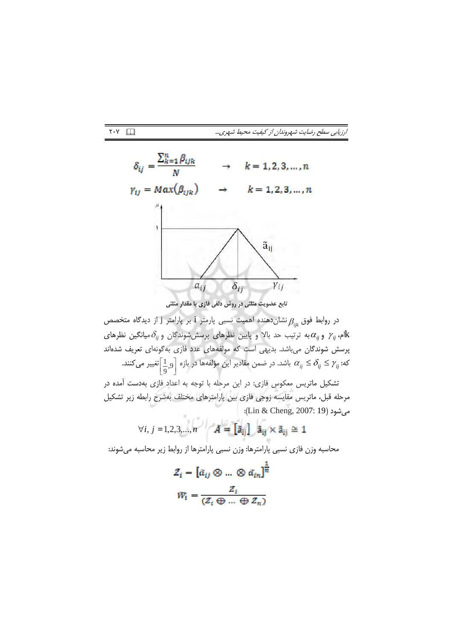ارزیابی سطح رضایت شهروندان از کیفیت محیط شهری...



تابع عضویت مثلثی در روش دلفی فازی با مقدار مثلثی

در روابط فوق  $\beta_{_{lik}}$ نشان(هنده اهمیت نسبی پارمتر  $\,$ i بر پارامتر  $\,$  از دیدگاه متخصص ام،  $\gamma_{ij}$  و  $\alpha_{ij}$ به ترتیب حد بالا و پایین نظرهای پرسششرشوندگان و  $\delta_{ij}$ میانگین نظرهای ${\rm k}$ پرسش شوندگان میباشد. بدیهی است که مولفههای عدد فازی بهگونهای تعریف شدهاند که:  $\alpha_{ij}\leq\delta_{ij}\leq\gamma$ باشد. در ضمن مقادیر این مؤلفهها در بازه  $\left[1\atop 0,9\right]$ تغییر می $\alpha_{ij}\leq\gamma_{ij}$  :

تشکیل ماتریس معکوس فازی: در این مرحله با توجه به اعداد فازی بهدست آمده در مرحله قبل، ماتریس مقایسه زوجی فازی بین پارامترهای مختلف بهشرح رابطه زیر تشکیل میشود (Lin & Cheng, 2007: 19):

$$
\forall i, j = 1, 2, 3, ..., n \qquad \tilde{A} = \begin{bmatrix} \tilde{a}_{ij} \end{bmatrix} \quad \tilde{a}_{ij} \times \tilde{a}_{ij} \cong 1
$$

محاسبه وزن فازي نسبي پارامترها: وزن نسبي پارامترها از روابط زير محاسبه ميشوند:

$$
Z_i = [\tilde{a}_{ij} \otimes ... \otimes \tilde{a}_{in}]^{\frac{1}{n}}
$$

$$
\tilde{W}_i = \frac{Z_i}{(Z_i \oplus ... \oplus Z_n)}
$$

 $Y \cdot Y$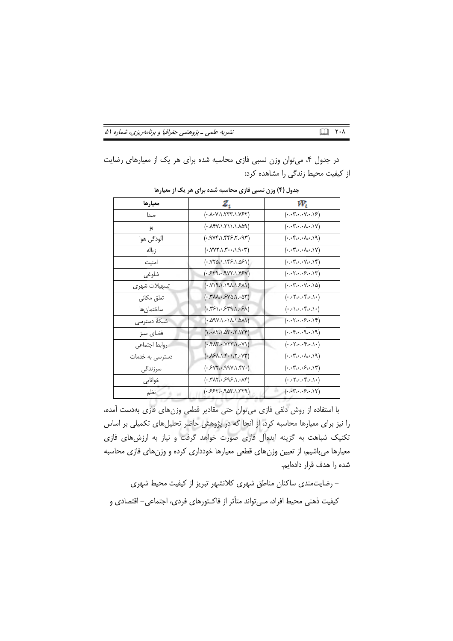| نشریه علمی ـ پژوهشی جغرافیا و برنامهریزی، شماره ۵۱ | ■ ۲۰۸ |
|----------------------------------------------------|-------|
|----------------------------------------------------|-------|

در جدول ۴، میتوان وزن نسبی فازی محاسبه شده برای هر یک از معیارهای رضایت از کیفیت محیط زندگی را مشاهده کرد:

| معيارها         | 2,                                                         | w,                                                                                      |
|-----------------|------------------------------------------------------------|-----------------------------------------------------------------------------------------|
| صدا             | (0.1001, 0.0001, 0.0001)                                   |                                                                                         |
| بو              | (0.481.771.049)                                            | $(\cdot \cdot \cdot \mathbf{Y} \cdot \cdot \cdot \wedge \cdot \cdot \cdot \vee)$        |
| آلودگی هوا      | (.9Yf.1.5557.197)                                          | $(*.*.*.*.*.*.**)$                                                                      |
| ز باله          | $(*. YVY \wedge \ldots Y \wedge \ldots \wedge Y)$          | $(\cdot \cdot \cdot \cdot \cdot \cdot \cdot \cdot \cdot \cdot \cdot \cdot \vee)$        |
| امنيت           | (0.861.1951.051)                                           | $(\cdot \cdot \cdot \forall \cdot \cdot \cdot \forall \cdot \cdot \cdot \land \forall)$ |
| شلوغي           | $(*519917.1.*54)$                                          | $(\cdot \cdot \cdot \tau \cdot \cdot \cdot \varepsilon \cdot \cdot \cdot \wedge \tau)$  |
| تسهيلات شهرى    | (1121.191.194)                                             | $(\cdot \cdot \cdot \forall \cdot \cdot \cdot \forall \cdot \cdot \cdot \land \Delta)$  |
| تعلق مكانى      | $(*.\text{YMA}.*\text{SYAA}.*\text{AY})$                   | $(\cdot\cdot\cdot\mathbf{Y}\cdot\cdot\cdot\mathbf{Y}\cdot\cdot\cdot)\cdot$              |
| ساختمان ها      | (1.751.579.1.51)                                           | $(\cdot\cdot\cdot\cdot\cdot\cdot\cdot\cdot\cdot))$                                      |
| شبكة دسترسى     | (110.111.1140.4)                                           |                                                                                         |
| فضاي سبز        | (1.417.1.014.1.114)                                        | $(*.**.919)$                                                                            |
| روابط اجتماعي   | $(*.Y \wedge Y \wedge \neg Y \wedge \neg Y \wedge \neg Y)$ | $(\cdot\cdot\cdot\mathbf{Y}\cdot\cdot\cdot\mathbf{Y}\cdot\cdot\cdot)\cdot$              |
| دسترسی به خدمات | $(*\lambda $A.1.***X.*Y")$                                 | $(*.*``.*``.*````$                                                                      |
| سرزندگی         | $(*5YK99Y\Lambda$ .۴۷۰)                                    | $(\cdot\cdot\cdot\mathbf{Y}\cdot\cdot\cdot\mathbf{S}\cdot\cdot\cdot\mathbf{Y})$         |
| خوانايي         | $(*.711.395.1.18)$                                         | $(\cdot\cdot\cdot\mathbf{Y} \cdot\cdot\cdot\mathbf{Y} \cdot\cdot\cdot)$                 |
| نظم             | $(*557907.1.779)$                                          |                                                                                         |

جدول (۴) وزن نسبی فازی محاسبه شده برای هر یک از معیارها

با استفاده از روش دلفی فازی میتوان حتی مقادیر قطعی وزنهای فازی بهدست آمده، را نیز برای معیارها محاسبه کرد، از آنجا که در پژوهش حاضر تحلیلهای تکمیلی بر اساس تکنیک شباهت به گزینه ایدهآل فازی صورت خواهد گرفت و نیاز به ارزش های فازی معیارها میباشیم، از تعیین وزنهای قطعی معیارها خودداری کرده و وزنهای فازی محاسبه شده را هدف قرار دادهایم.

- رضایت مندی ساکنان مناطق شهری کلانشهر تبریز از کیفیت محیط شهری كيفيت ذهني محيط افراد، مـىتواند متأثر از فاكـتورهاي فردي، اجتماعي– اقتصادي و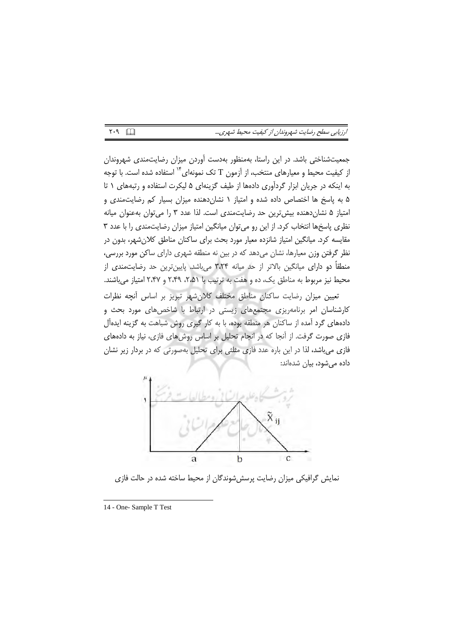| ارزيابي سطح رضايت شهروندان از كيفيت محيط شهري |  |  |  |  |  |  |
|-----------------------------------------------|--|--|--|--|--|--|
|-----------------------------------------------|--|--|--|--|--|--|

جمعیتشناختی باشد. در این راستا، بهمنظور بهدست آوردن میزان رضایتمندی شهروندان از کیفیت محیط و معیارهای منتخب، از آزمون T تک نمونهای<sup>۱۴</sup> استفاده شده است. با توجه به اینکه در جریان ابزار گردآوری دادهها از طیف گزینهای ۵ لیکرت استفاده و رتبههای ١ تا ۵ به پاسخ ها اختصاص داده شده و امتیاز ۱ نشان دهنده میزان بسیار کم رضایت مندی و امتیاز ۵ نشان دهنده بیش ترین حد رضایتمندی است. لذا عدد ۳ را می توان بهعنوان میانه نظری پاسخها انتخاب کرد. از این رو می توان میانگین امتیاز میزان رضایتمندی را با عدد ۳ مقایسه کرد. میانگین امتیاز شانزده معیار مورد بحث برای ساکنان مناطق کلانشهر، بدون در نظر گرفتن وزن معیارها، نشان میدهد که در بین نه منطقه شهری دارای ساکن مورد بررسی، منطقاً دو دارای میانگین بالاتر از حد میانه ۳٬۲۴ میباشد. پایینترین حد رضایتمندی از محیط نیز مربوط به مناطق یک، ده و هفت به ترتیب با ۵۱، ۲ ، ۲٬۴۹ و ۲٬۴۷ امتیاز می باشند.

تعيين ميزان رضايت ساكنان مناطق مختلف كلان شهر تبريز بر اساس أنچه نظرات کارشناسان امر برنامهریزی مجتمعهای زیستی در ارتباط با شاخصهای مورد بحث و دادههای گرد آمده از ساکنان هر منطقه بوده، با به کار گیری روش شباهت به گزینه ایدهآل فازی صورت گرفت. از آنجا که در انجام تحلیل بر اساس روشهای فازی، نیاز به دادههای فازی می باشد، لذا در این باره عدد فازی مثلثی برای تحلیل بهصورتی که در بردار زیر نشان دادہ مے شود، بیان شدہاند:



نمایش گرافیکی میزان رضایت پرسش شوندگان از محیط ساخته شده در حالت فازی

 $Y.9$ 

<sup>14 -</sup> One- Sample T Test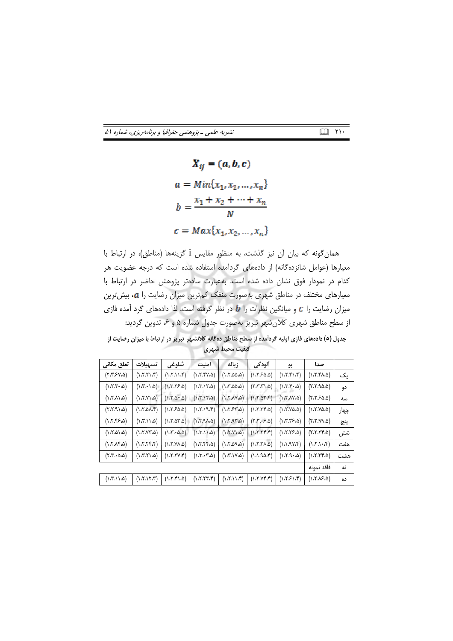نشریه علمی ـ پژوهشی جغرافیا و برنامهریزی، شماره ۵۱

 $\bar{X}_{ii} = (a, b, c)$  $a = Min{x_1, x_2, ..., x_n}$  $b = \frac{x_1 + x_2 + \dots + x_n}{N}$  $c = Max\{x_1, x_2, ..., x_n\}$ 

همان گونه كه بيان آن نيز گذشت، به منظور مقايس 1 گزينهها (مناطق)، در ارتباط با معیارها (عوامل شانزدهگانه) از دادههای گردآمده استفاده شده است که درجه عضویت هر کدام در نمودار فوق نشان داده شده است. بهعبارت سادهتر پژوهش حاضر در ارتباط با معیارهای مختلف در مناطق شهری بهصورت منفک کمترین میزان رضایت را a، بیش ترین میزان رضایت را c و میانگین نظرات را b در نظر گرفته است. لذا دادههای گرد آمده فازی از سطح مناطق شهری کلان شهر تبریز بهصورت جدول شماره ۵ و ۶، تدوین گردید:

.<br>جدول (٥) دادههای فازی اولیه گردآمده از سطح مناطق دهگانه کلانشبهر تبریز در ارتباط با میزان رضایت از كيفيت محيط شهرى

| تعلق مكانى                                                | تسهيلات              | شلوغي                                                         | امنيت                            | زباله                                      | الودگي                           | بو                     | صدا                                     |      |
|-----------------------------------------------------------|----------------------|---------------------------------------------------------------|----------------------------------|--------------------------------------------|----------------------------------|------------------------|-----------------------------------------|------|
| $(Y,Y,Y,\Delta)$                                          | (1.7.7)              | (1.11.7)                                                      | (1.7.94)                         | (1.7.00.0)                                 | (1.750.0)                        | (1.7.5)                | (1.7.fA.0)                              | یک   |
| $(1.7.7 \cdot \omega)$                                    | (1.7.1.0)            | (1.7.75.0)                                                    | (1.7.17.0)                       | $( \lambda, \lambda, \lambda, \lambda)$    | (6.7.7.7)                        | (1.7.7.6)              | (5.5.9a)                                | دو   |
| (1.711.0)                                                 | (0.117.7)            | (0.36.7)                                                      | (1.7.17.0)                       | $(\lambda, \Upsilon, \Lambda \vee \Delta)$ | (1.7.57.f)                       | (0.11.1)               | $(Y,Y,S_{\omega,\Delta})$               | سه   |
| (0.7.7.7)                                                 | (1.5.01)             | $( \lambda \mathcal{F} \mathcal{S} \mathcal{A} \mathcal{A} )$ | (1.7.19.5)                       | (1.754.0)                                  | (1.7.79.4)                       | (0.5.42)               | (1.7.9a)                                | چهار |
| (1.7.95.0)                                                | (1.7.11.0)           | (1.7.27.2)                                                    | $(1.7.9A_0)$                     | (1.7.97.4)                                 | $(Y,Y,\cdot;\mathcal{S},\Delta)$ | (1.7.75.0)             | (6.7.99.2)                              | پنج  |
| (0.7.01.0)                                                | $(1.7.YY,\Delta)$    | $( \lambda \cdot \lambda \cdot \lambda \cdot \Delta)$         | (1.7.11.0)                       | (0.1Y.1)                                   | (1.7.79f)                        | (1.7.75.0)             | (5.7.75.0)                              | شش   |
| (1.7.19.0)                                                | (1.7.75f)            | $(0.7.7\lambda \alpha)$                                       | (1.7.99)                         | (0.22.7)                                   | $(1.7.7\lambda_0)$               | (1.1.9Y)               | (1.7.1.1)                               | هفت  |
| $(\uparrow \, \uparrow \, \cdot \, \lozenge \, \lozenge)$ | $(0.7.7)$ . $\omega$ | (1.7.7V.f)                                                    | $( \lambda, \tau, \tau, \delta)$ | (1.7.1Y <sub>6</sub> )                     | (1.1.90.8)                       | $(0.7.9 \cdot \omega)$ | (1.7.79.0)                              | هشت  |
|                                                           |                      |                                                               |                                  |                                            |                                  |                        | فاقد نمونه                              | نه   |
| (1.7.11.0)                                                | (1.7.17.7)           | (0.7.7.7)                                                     | (1.7.77.5)                       | (1.7.11.f)                                 | (Y, Y, Y, Y)                     | (1.131.5)              | $( \lambda, \lambda, \lambda, \lambda)$ | ده   |

 $\Box$   $\Upsilon$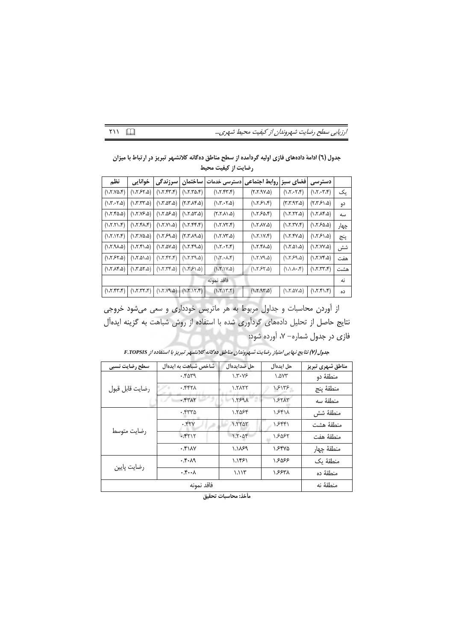| ارزیابی سطح رضایت شهروندان از کیفیت محیط شهری |  |  |  |
|-----------------------------------------------|--|--|--|
|-----------------------------------------------|--|--|--|

|                     | جدول (٦) ادامهٔ دادههای فازی اولیه گرداًمده از سطح مناطق دهگانه کلانشهر تبریز در ارتباط با میزان |
|---------------------|--------------------------------------------------------------------------------------------------|
| رضایت از کیفیت محیط |                                                                                                  |

| نظم                                                  | خوانايي                                 | سرزندگی                   | ساختمان                                          | ادسترسی خدمات                                        | فضاي سبز  روابط اجتماعي               |                                                      | دسترسى                 |      |
|------------------------------------------------------|-----------------------------------------|---------------------------|--------------------------------------------------|------------------------------------------------------|---------------------------------------|------------------------------------------------------|------------------------|------|
| (1.7.98.5)                                           | (1.7.57.4)                              | (1.7.55)                  | (1.7.70.8)                                       | (1.7.97.8)                                           | $(\lambda, \gamma, \gamma, \gamma)$   | (1.7.57)                                             | (1.7.57)               | ىك   |
| $( \lambda \cdot \nabla \cdot \nabla \cdot \Delta )$ | (1.7.77.4)                              | (1.7.27.2)                | $(\uparrow,\uparrow,\uparrow,\uparrow,\uparrow)$ | (1.7.57.0)                                           | (1.751.8)                             | (5.7.97.2)                                           | (7.751.2)              | دو   |
| $(1.7.f\Delta \Delta)$                               | $(\lambda$ . Y. Y $\approx$ $\lambda$ ) | (1.7.25.4)                | (1.7.27.2)                                       | $(\Delta, \Lambda, \Lambda, \delta)$                 | (1.750.8)                             | (1.7.77.0)                                           | (1.719a)               | سه   |
| (1.7.71.7)                                           | (1.5.54)                                | (0.7.7)                   | (1.7.99.7)                                       | (1.7.97.f)                                           | $(\lambda$ . Y $\lambda$ Y $\Delta$ ) | (1.7.77.5)                                           | (1.58a)                | چهار |
| (1.7.17.8)                                           | $( \lambda$ .Y.Y $\Delta$ . $\Delta$    | (0.5937)                  | $(\Delta P \Lambda^* \Lambda)$                   | (1.7.97a)                                            | $(1.7.1V_*)$                          | (1.7.94)                                             | (1.751.0)              | پنج  |
| $( \lambda \mathcal{F}.9 \lambda \omega )$           | (1.7.51.4)                              | $(1.7.0V_0)$              | $(\Delta P^2.7)$                                 | (1.7.57)                                             | $(1.7.7A_0)$                          | $(0.7.0)\omega$                                      | (1.7.YY <sub>a</sub> ) | شش   |
| (1.757.0)                                            | (0.7.01.0)                              | (7.77.7)                  | $(\Delta P, \Delta P, \Delta)$                   | $( \lambda \cdot \lambda \cdot \lambda \cdot \tau )$ | (0.7.19a)                             | (1.759.2)                                            | (1.7.99a)              | هفت  |
| (1.7.19.0)                                           | (1.7.27.2)                              | (1.7.79)                  | (1.751.0)                                        | (1.7.1Y <sub>0</sub> )                               | (1.757.0)                             | $(1.1 \lambda \cdot \lambda^2)$                      | (1.7.77.5)             | هشت  |
| فاقد نمونه                                           |                                         |                           |                                                  |                                                      |                                       |                                                      | نه                     |      |
| (1.7.97.9)                                           | (1.7.77.f)                              | $(1.7.17.1)$ $(0.97.7.1)$ |                                                  | (1.7.17.5)                                           | (1.7.97.0)                            | $( \lambda \cdot \lambda \cdot \Delta \vee \Delta )$ | (1.7.51.5)             | ده   |

از آوردن محاسبات و جداول مربوط به هر ماتریس خودداری و سعی میشود خروجی نتایج حاصل از تحلیل دادههای گردآوری شده با استفاده از روش شباهت به گزینه ایدهآل فازی در جدول شماره- ۷، آورده شود:

| سطح رضايت نسبى  | شاخص شباهت به ایدهآل | حل ضدايدهأل           | حل ايدهآل    | مناطق شهري تبريز |
|-----------------|----------------------|-----------------------|--------------|------------------|
|                 | . . rara             | 1.7.79                | $\gamma$ ۵۷۳ | منطقهٔ دو        |
| رضايت قابل قبول | ۰.۴۴۲۸               | $\lambda$ . $\lambda$ | ۱۶۱۳۶        | منطقهٔ ينج       |
|                 | .557                 | 1.5591                | 557AT        | منطقهٔ سه        |
|                 | .550                 | 1.5084                | 1.541        | منطقهٔ شش        |
|                 | .57Y                 | 1.550                 | ۱.۶۴۴۱       | منطقهٔ هشت       |
| رضايت متوسط     | .5517                | $1.5 - \Delta 5$      | ۱.۶۵۶۲       | منطقهٔ هفت       |
|                 | .511                 | ۱.۱۸۶۹                | ۱.۶۴۷۵       | منطقهٔ چهار      |
| رضايت پايين     | ۰.۴۰۸۹               | ۱.۱۴۶۱                | ۱.۶۵۶۶       | منطقهٔ یک        |
|                 | $\cdot$              | ۱.۱۱۳                 | ۱.۶۶۳۸       | منطقهٔ ده        |
|                 | منطقهٔ نه            |                       |              |                  |

جدول (Y) نتايج نـهايي امتياز رضايت شـهروندان مناطق دهگانه كلانشـهر تبريز با استفاده از F.TOPSIS

.<br>مأخذ: محاسبا*ت* تحقيق

 $\mathsf{r} \cap \mathbb{R}$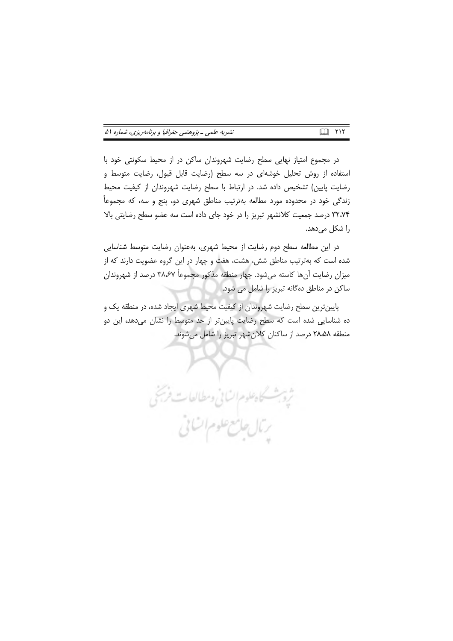| نشریه علمی ـ پژوهشی جغرافیا و برنامهریزی، شماره ۵۱ | 口 ハイ |
|----------------------------------------------------|------|
|----------------------------------------------------|------|

در مجموع امتیاز نهایی سطح رضایت شهروندان ساکن در از محیط سکونتی خود با استفاده از روش تحلیل خوشهای در سه سطح (رضایت قابل قبول، رضایت متوسط و رضایت پایین) تشخیص داده شد. در ارتباط با سطح رضایت شهروندان از کیفیت محیط زندگی خود در محدوده مورد مطالعه بهترتیب مناطق شهری دو، پنج و سه، که مجموعاً ٣٢،٧۴ درصد جمعیت كلانشهر تبریز را در خود جای داده است سه عضو سطح رضایتی بالا را شکل میدهد.

در این مطالعه سطح دوم رضایت از محیط شهری، بهعنوان رضایت متوسط شناسایی شده است که بهترتیب مناطق شش، هشت، هفت و چهار در این گروه عضویت دارند که از میزان رضایت آنها کاسته میشود. چهار منطقه مذکور مجموعاً ۳۸٬۶۷ درصد از شهروندان ساکن در مناطق دهگانه تبریز را شامل می شود.

پایینترین سطح رضایت شهروندان از کیفیت محیط شهری ایجاد شده، در منطقه یک و ده شناسایی شده است که سطح رضایت پایینتر از حد متوسط را نشان میدهد، این دو منطقه ۲۸٬۵۸ درصد از ساکنان کلانشهر تبریز را شامل میشوند.

ثروبث كاهلوم الساني ومطالعات فريخي

ربال جامع علوم اتنانى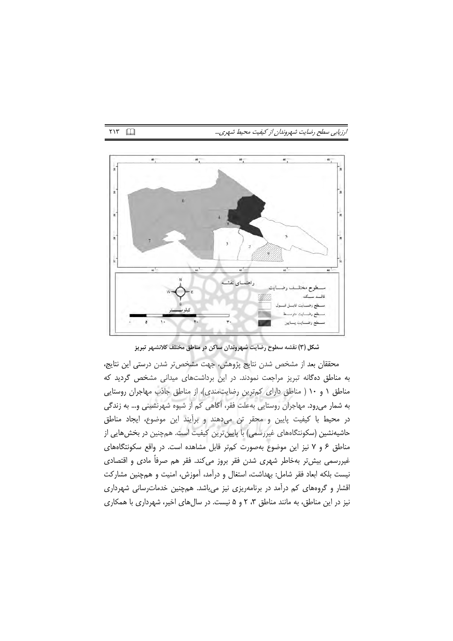### ارزيابي سطح رضايت شهروندان از كيفيت محيط شهري...

46  $\ddot{6}$  $\frac{1}{2}$ راهنمای نقش لطوح مختلسف رظ فاقسط

شکل (۳) نقشه سطوح رضایت شهروندان ساکن در مناطق مختلف کلانشهر تبریز

محققان بعد از مشخص شدن نتايج پژوهش، جهت مشخصتر شدن درستي اين نتايج، به مناطق دهگانه تبریز مراجعت نمودند. در این برداشتهای میدانی مشخص گردید که مناطق ١ و ١٠ ( مناطق داراى كمترين رضايت مندى)، از مناطق جاذب مهاجران روستايى به شمار میرود. مهاجران روستایی بهعلت فقر، آگاهی کم از شیوه شهرنشینی و… به زندگی در محیط با کیفیت پایین و محقر تن میدهند و برأیند این موضوع، ایجاد مناطق حاشیهنشین (سکونتگاههای غیررسمی) با پایین ترین کیفیت است. همچنین در بخشهایی از مناطق ۶ و ۷ نیز این موضوع بهصورت کمتر قابل مشاهده است. در واقع سکونتگاههای غیررسمی بیشتر بهخاطر شهری شدن فقر بروز میکند. فقر هم صرفاً مادی و اقتصادی نیست بلکه ابعاد فقر شامل: بهداشت، استغال و درآمد، آموزش، امنیت و همچنین مشارکت اقشار و گروههای کم درآمد در برنامهریزی نیز می باشد. همچنین خدمات رسانی شهرداری نیز در این مناطق، به مانند مناطق ۳، ۲ و ۵ نیست. در سالهای اخیر، شهرداری با همکاری

TIT 国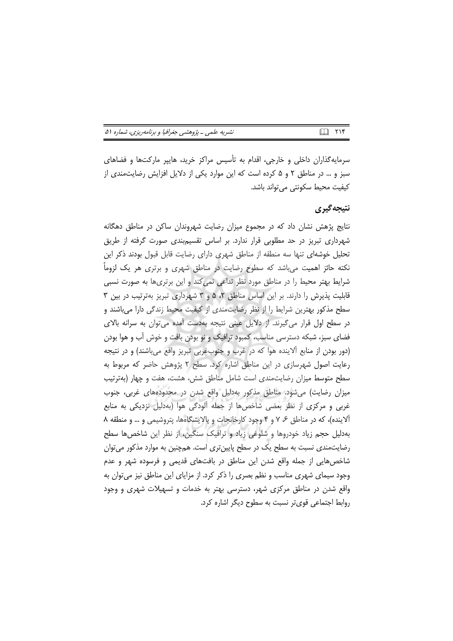|  |  |  |  |  | نشریه علمی ـ پژوهشی جغرافیا و برنامهریزی، شماره ۵۱ |  |  |  |
|--|--|--|--|--|----------------------------------------------------|--|--|--|
|--|--|--|--|--|----------------------------------------------------|--|--|--|

سرمایهگذاران داخلی و خارجی، اقدام به تأسیس مراکز خرید، هاییر مارکتها و فضاهای سبز و … در مناطق ۲ و ۵ کرده است که این موارد یکی از دلایل افزایش رضایتمندی از كيفيت محيط سكونتي مي تواند باشد.

### نتيجه گيري

نتایج پژهش نشان داد که در مجموع میزان رضایت شهروندان ساکن در مناطق دهگانه شهرداری تبریز در حد مطلوبی قرار ندارد. بر اساس تقسیمبندی صورت گرفته از طریق تحلیل خوشهای تنها سه منطقه از مناطق شهری دارای رضایت قابل قبول بودند ذکر این نکته حائز اهمیت میباشد که سطوح رضایت در مناطق شهری و برتری هر یک لزوماً شرایط بهتر محیط را در مناطق مورد نظر تداعی نمی کند و این برتری ها به صورت نسبی قابلیت پذیرش را دارند. بر این اساس مناطق ۲، ۵ و ۳ شهرداری تبریز بهترتیب در بین ۳ سطح مذکور بهترین شرایط را از نظر رضایتمندی از کیفیت محیط زندگی دارا می باشند و در سطح اول قرار می گیرند. از دلایل عینی نتیجه بهدست آمده می توان به سرانه بالای فضای سبز، شبکه دسترسی مناسب، کمبود ترافیک و نو بودن بافت و خوش آب و هوا بودن (دور بودن از منابع آلاینده هوا که در غرب و جنوبغربی تبریز واقع میباشند) و در نتیجه رعایت اصول شهرسازی در این مناطق اشاره کرد. سطح ۲ پژوهش حاضر که مربوط به سطح متوسط میزان رضایت مندی است شامل مناطق شش، هشت، هفت و چهار (بهترتیب میزان رضایت) میشود. مناطق مذکور بهدلیل واقع شدن در محدودههای غربی، جنوب غربی و مرکزی از نظر بعضی شاخصها از جمله آلودگی هوا (بهدلیل نزدیکی به منابع آلاینده)، که در مناطق ۶، ۷ و ۴ وجود کارخانجات و پالایشگاهها، پتروشیمی و … و منطقه ۸ بهدلیل حجم زیاد خودروها و شلوغی زیاد و ترافیک سنگین، از نظر این شاخصها سطح رضایتمندی نسبت به سطح یک در سطح پایینتری است. همچنین به موارد مذکور می توان شاخصهایی از جمله واقع شدن این مناطق در بافتهای قدیمی و فرسوده شهر و عدم وجود سیمای شهری مناسب و نظم بصری را ذکر کرد. از مزایای این مناطق نیز می توان به واقع شدن در مناطق مرکزی شهر، دسترسی بهتر به خدمات و تسهیلات شهری و وجود روابط اجتماعی قوی تر نسبت به سطوح دیگر اشاره کرد.

 $\Box$   $\Upsilon \Vdash$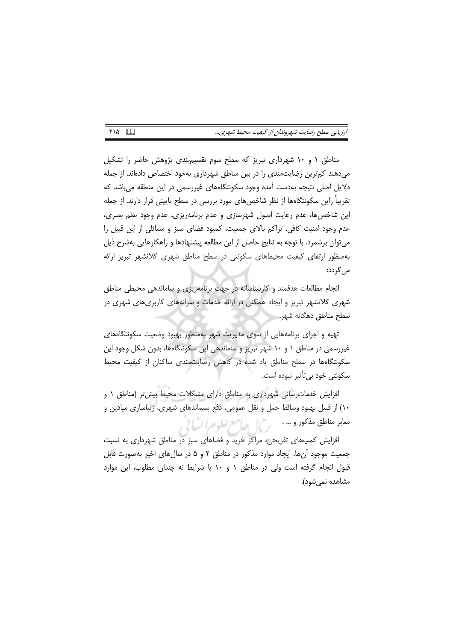| رزیابی سطح رضایت شهروندان از کیفیت محیط شهری |  |  |  |  |
|----------------------------------------------|--|--|--|--|
|----------------------------------------------|--|--|--|--|

مناطق ١ و ١٠ شهردارى تبريز كه سطح سوم تقسيم بندى پژوهش حاضر را تشكيل میدهند کمترین رضایتمندی را در بین مناطق شهرداری بهخود اختصاص دادهاند. از جمله دلایل اصلی نتیجه بهدست آمده وجود سکونتگاههای غیررسمی در این منطقه می باشد که تقریباً راین سکونتگاهها از نظر شاخصهای مورد بررسی در سطح پایینی قرار دارند. از جمله این شاخصها، عدم رعایت اصول شهرسازی و عدم برنامهریزی، عدم وجود نظم بصری، عدم وجود امنیت کافی، تراکم بالای جمعیت، کمبود فضای سبز و مسائلی از این قبیل را میتوان برشمرد. با توجه به نتایج حاصل از این مطالعه پیشنهادها و راهکارهایی بهشرح ذیل بەمنظور ارتقای کیفیت محیطهای سکونتی در سطح مناطق شهری کلانشهر تبریز ارائه می گردد:

انجام مطالعات هدفمند و کارشناسانه در جهت برنامهریزی و ساماندهی محیطی مناطق شهری کلانشهر تبریز و ایجاد همگنی در ارائه خدمات و سرانههای کاربریهای شهری در سطح مناطق دهگانه شهر.

تهیه و اجرای برنامههایی از سوی مدیریت شهر بهمنظور بهبود وضعیت سکونتگاههای غیررسمی در مناطق ۱ و ۱۰ شهر تبریز و ساماندهی این سکونتگاهها، بدون شکل وجود این سکونتگاهها در سطح مناطق یاد شده در کاهش رضایت مندی ساکنان از کیفیت محیط سکونتی خود بی تأثیر نبوده است.

افزایش خدمات رسانی شهرداری به مناطق دارای مشکلات محیط بیش تر (مناطق ۱ و ۱۰) از قبیل بهبود وسائط حمل و نقل عمومی، دفع پسماندهای شهری، زیباسازی میادین و 

افزایش کمپهای تفریحی، مراکز خرید و فضاهای سبز در مناطق شهرداری به نسبت جمعیت موجود آنها. ایجاد موارد مذکور در مناطق ۲ و ۵ در سال های اخیر بهصورت قابل قبول انجام گرفته است ولی در مناطق ۱ و ۱۰ با شرایط نه چندان مطلوب، این موارد مشاهده نمیشود).

 $Y \setminus \Delta$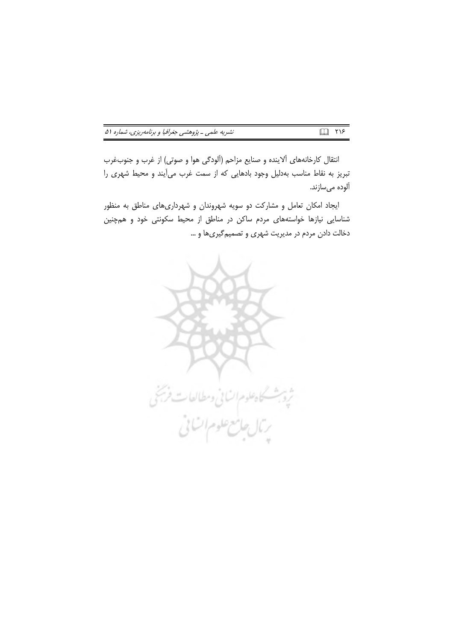| نشریه علمی ـ پژوهشی جغرافیا و برنامهریزی، شماره ۵۱ |  | Q TIS |  |
|----------------------------------------------------|--|-------|--|
|----------------------------------------------------|--|-------|--|

انتقال كارخانههاي آلاينده و صنايع مزاحم (آلودگي هوا و صوتي) از غرب و جنوبغرب تبریز به نقاط مناسب بهدلیل وجود بادهایی که از سمت غرب می آیند و محیط شهری را آلوده مىسازند.

ایجاد امکان تعامل و مشارکت دو سویه شهروندان و شهرداریهای مناطق به منظور شناسایی نیازها خواستههای مردم ساکن در مناطق از محیط سکونتی خود و همچنین دخالت دادن مردم در مدیریت شهری و تصمیم گیریها و …

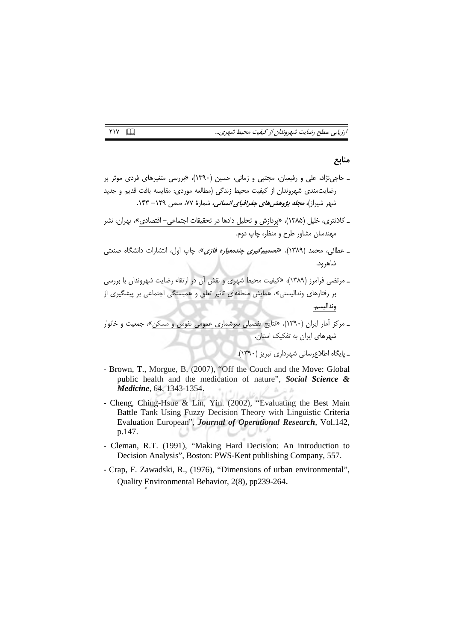|  |  | رزیابی سطح رضایت شهروندان از کیفیت محیط شهری |  |  |
|--|--|----------------------------------------------|--|--|
|  |  |                                              |  |  |

#### منابع

- ـ حاجی نژاد، علی و رفیعیان، مجتبی و زمانی، حسین (۱۳۹۰)، «بررسی متغیرهای فردی موثر بر رضایتمندی شهروندان از کیفیت محیط زندگی (مطالعه موردی: مقایسه بافت قدیم و جدید شهر شیراز)، *مجله پژوهشرهای جغرافیای انسانی،* شمارهٔ ۷۷، صص ۱۲۹– ۱۴۳.
- ـ کلانتری، خلیل (۱۳۸۵)، «پردازش و <u>تحلیل</u> دادها در تحقیقات اجتماعی– اقتصادی»، تهران، نشر مهندسان مشاور طرح و منظر، چاپ دوم.
- ـ عطائ<sub>ی</sub>، محمد (۱۳۸۹)*، «تصمیمگیری چندمعیاره فازی»*، چاپ اول، انتشارات دانشگاه صنعتی شاهرود.

ـ مرتضى فرامرز (١٣٨٩)، «كيفيت محيط شهرى و نقش أن در ارتقاء رضايت شهروندان با بررسى بر رفتارهای وندالیستی»، همایش منطقهای تاثیر تعلق و همبستگی اجتماعی بر پیشگیری از ونداليسم.

- Brown, T., Morgue, B. (2007), "Off the Couch and the Move: Global public health and the medication of nature", Social Science & Medicine, 64, 1343-1354.

- Cheng, Ching-Hsue & Lin, Yin. (2002), "Evaluating the Best Main Battle Tank Using Fuzzy Decision Theory with Linguistic Criteria Evaluation European", Journal of Operational Research, Vol.142, p.147.
- Cleman, R.T. (1991), "Making Hard Decision: An introduction to Decision Analysis", Boston: PWS-Kent publishing Company, 557.
- Crap, F. Zawadski, R., (1976), "Dimensions of urban environmental", Quality Environmental Behavior, 2(8), pp239-264.

**TIV**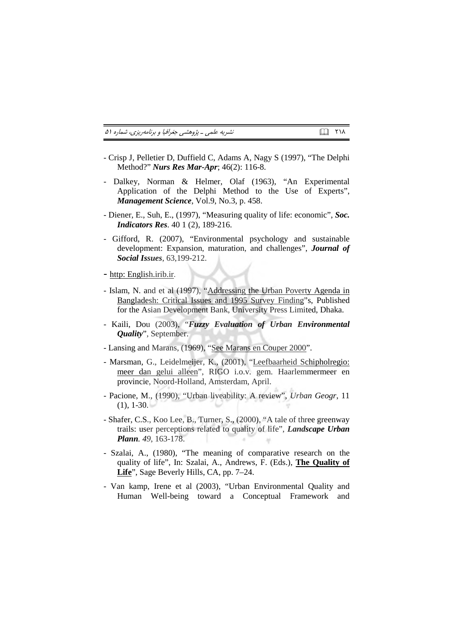نشریه علمی ـ پژوهشی جغرافیا و برنامهریزی، شماره ۵۱

- Crisp J, Pelletier D, Duffield C, Adams A, Nagy S (1997), "The Delphi Method?" Nurs Res Mar-Apr; 46(2): 116-8.
- Dalkey, Norman & Helmer, Olaf (1963), "An Experimental Application of the Delphi Method to the Use of Experts", Management Science, Vol.9, No.3, p. 458.
- Diener, E., Suh, E., (1997), "Measuring quality of life: economic". Soc. **Indicators Res.** 40 1 (2), 189-216.
- Gifford, R. (2007), "Environmental psychology and sustainable development: Expansion, maturation, and challenges", Journal of **Social Issues**, 63,199-212.
- http: English.irib.ir.
- Islam, N. and et al (1997), "Addressing the Urban Poverty Agenda in Bangladesh: Critical Issues and 1995 Survey Finding"s, Published for the Asian Development Bank, University Press Limited, Dhaka.
- Kaili, Dou (2003), "Fuzzy Evaluation of Urban Environmental *Quality"*, September.
- Lansing and Marans, (1969), "See Marans en Couper 2000".
- Marsman, G., Leidelmeijer, K., (2001), "Leefbaarheid Schipholregio: meer dan gelui alleen", RIGO i.o.v. gem. Haarlemmermeer en provincie, Noord-Holland, Amsterdam, April.
- Pacione, M., (1990), "Urban liveability: A review", Urban Geogr, 11  $(1), 1-30.$
- Shafer, C.S., Koo Lee, B., Turner, S., (2000), "A tale of three greenway trails: user perceptions related to quality of life", Landscape Urban Plann. 49, 163-178.
- Szalai, A., (1980), "The meaning of comparative research on the quality of life", In: Szalai, A., Andrews, F. (Eds.), The Quality of Life", Sage Beverly Hills, CA, pp. 7–24.
- Van kamp, Irene et al (2003), "Urban Environmental Quality and Human Well-being toward a Conceptual Framework and

 $\Box$   $\Box$